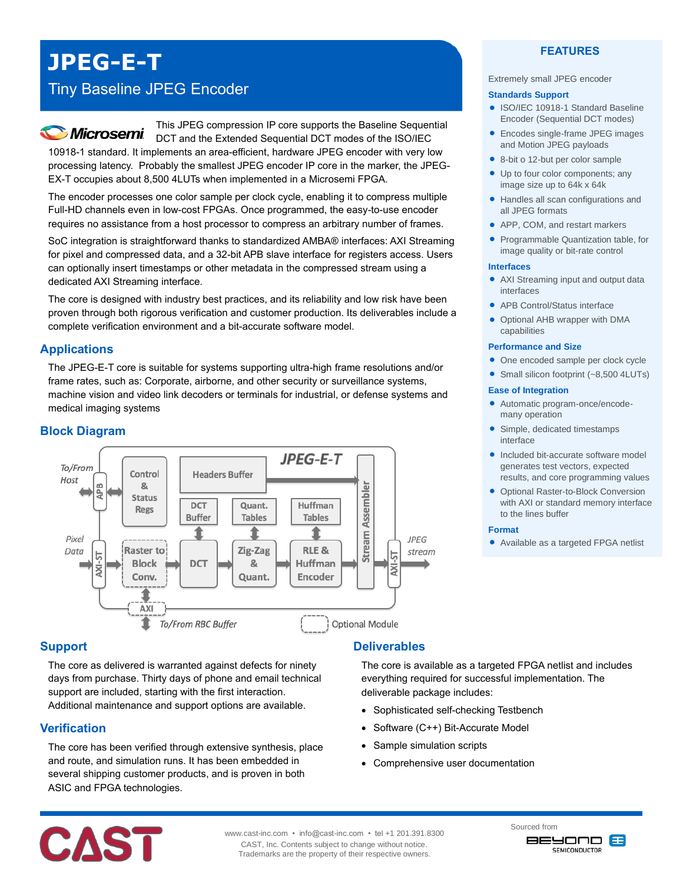# **JPEG-E-T**

## Tiny Baseline JPEG Encoder

# **Microsemi**

This JPEG compression IP core supports the Baseline Sequential DCT and the Extended Sequential DCT modes of the ISO/IEC 10918-1 standard. It implements an area-efficient, hardware JPEG encoder with very low processing latency. Probably the smallest JPEG encoder IP core in the marker, the JPEG-

EX-T occupies about 8,500 4LUTs when implemented in a Microsemi FPGA. The encoder processes one color sample per clock cycle, enabling it to compress multiple Full-HD channels even in low-cost FPGAs. Once programmed, the easy-to-use encoder

requires no assistance from a host processor to compress an arbitrary number of frames.

SoC integration is straightforward thanks to standardized AMBA® interfaces: AXI Streaming for pixel and compressed data, and a 32-bit APB slave interface for registers access. Users can optionally insert timestamps or other metadata in the compressed stream using a dedicated AXI Streaming interface.

The core is designed with industry best practices, and its reliability and low risk have been proven through both rigorous verification and customer production. Its deliverables include a complete verification environment and a bit-accurate software model.

### **Applications**

The JPEG-E-T core is suitable for systems supporting ultra-high frame resolutions and/or frame rates, such as: Corporate, airborne, and other security or surveillance systems, machine vision and video link decoders or terminals for industrial, or defense systems and medical imaging systems

### **Block Diagram**



### **Support**

The core as delivered is warranted against defects for ninety days from purchase. Thirty days of phone and email technical support are included, starting with the first interaction. Additional maintenance and support options are available.

### **Verification**

The core has been verified through extensive synthesis, place and route, and simulation runs. It has been embedded in several shipping customer products, and is proven in both ASIC and FPGA technologies.

### **Deliverables**

The core is available as a targeted FPGA netlist and includes everything required for successful implementation. The deliverable package includes:

- Sophisticated self-checking Testbench
- Software (C++) Bit-Accurate Model
- Sample simulation scripts
- Comprehensive user documentation

### **FEATURES**

#### Extremely small JPEG encoder

#### **Standards Support**

- ISO/IEC 10918-1 Standard Baseline Encoder (Sequential DCT modes)
- Encodes single-frame JPEG images and Motion JPEG payloads
- 8-bit o 12-but per color sample
- Up to four color components; any image size up to 64k x 64k
- Handles all scan configurations and all JPEG formats
- APP, COM, and restart markers
- Programmable Quantization table, for image quality or bit-rate control

#### **Interfaces**

- AXI Streaming input and output data interfaces
- APB Control/Status interface
- Optional AHB wrapper with DMA capabilities

#### **Performance and Size**

- One encoded sample per clock cycle
- Small silicon footprint (~8,500 4LUTs)

#### **Ease of Integration**

- Automatic program-once/encodemany operation
- Simple, dedicated timestamps interface
- Included bit-accurate software model generates test vectors, expected results, and core programming values
- Optional Raster-to-Block Conversion with AXI or standard memory interface to the lines buffer

#### **Format**

Available as a targeted FPGA netlist